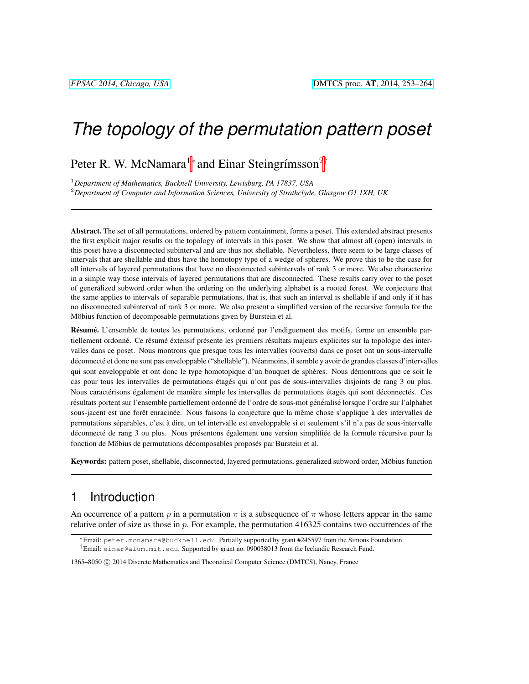# *The topology of the permutation pattern poset*

Peter R. W. McNamara<sup>1</sup>\* and Einar Steingrímsson<sup>2†</sup>

<sup>1</sup>*Department of Mathematics, Bucknell University, Lewisburg, PA 17837, USA* <sup>2</sup>*Department of Computer and Information Sciences, University of Strathclyde, Glasgow G1 1XH, UK*

Abstract. The set of all permutations, ordered by pattern containment, forms a poset. This extended abstract presents the first explicit major results on the topology of intervals in this poset. We show that almost all (open) intervals in this poset have a disconnected subinterval and are thus not shellable. Nevertheless, there seem to be large classes of intervals that are shellable and thus have the homotopy type of a wedge of spheres. We prove this to be the case for all intervals of layered permutations that have no disconnected subintervals of rank 3 or more. We also characterize in a simple way those intervals of layered permutations that are disconnected. These results carry over to the poset of generalized subword order when the ordering on the underlying alphabet is a rooted forest. We conjecture that the same applies to intervals of separable permutations, that is, that such an interval is shellable if and only if it has no disconnected subinterval of rank 3 or more. We also present a simplified version of the recursive formula for the Möbius function of decomposable permutations given by Burstein et al.

Résumé. L'ensemble de toutes les permutations, ordonné par l'endiguement des motifs, forme un ensemble partiellement ordonné. Ce résumé éxtensif présente les premiers résultats majeurs explicites sur la topologie des intervalles dans ce poset. Nous montrons que presque tous les intervalles (ouverts) dans ce poset ont un sous-intervalle déconnecté et donc ne sont pas enveloppable ("shellable"). Néanmoins, il semble y avoir de grandes classes d'intervalles qui sont enveloppable et ont donc le type homotopique d'un bouquet de sphères. Nous démontrons que ce soit le cas pour tous les intervalles de permutations étagés qui n'ont pas de sous-intervalles disjoints de rang 3 ou plus. Nous caractérisons également de manière simple les intervalles de permutations étagés qui sont déconnectés. Ces résultats portent sur l'ensemble partiellement ordonné de l'ordre de sous-mot généralisé lorsque l'ordre sur l'alphabet sous-jacent est une forêt enracinée. Nous faisons la conjecture que la même chose s'applique à des intervalles de permutations séparables, c'est à dire, un tel intervalle est enveloppable si et seulement s'il n'a pas de sous-intervalle déconnecté de rang 3 ou plus. Nous présentons également une version simplifiée de la formule récursive pour la fonction de Möbius de permutations décomposables proposés par Burstein et al.

Keywords: pattern poset, shellable, disconnected, layered permutations, generalized subword order, Möbius function

## 1 Introduction

An occurrence of a pattern p in a permutation  $\pi$  is a subsequence of  $\pi$  whose letters appear in the same relative order of size as those in  $p$ . For example, the permutation 416325 contains two occurrences of the

<sup>∗</sup>Email: peter.mcnamara@bucknell.edu. Partially supported by grant #245597 from the Simons Foundation. †Email: einar@alum.mit.edu. Supported by grant no. 090038013 from the Icelandic Research Fund.

1365–8050 © 2014 Discrete Mathematics and Theoretical Computer Science (DMTCS), Nancy, France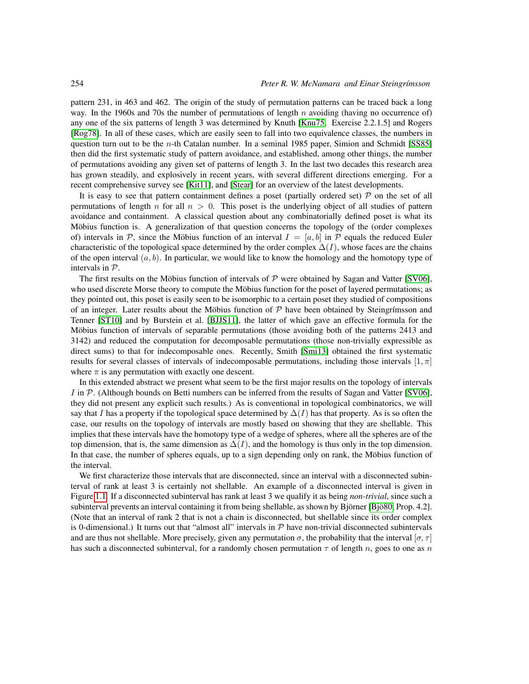pattern 231, in 463 and 462. The origin of the study of permutation patterns can be traced back a long way. In the 1960s and 70s the number of permutations of length  $n$  avoiding (having no occurrence of) any one of the six patterns of length 3 was determined by Knuth [\[Knu75,](#page-11-0) Exercise 2.2.1.5] and Rogers [\[Rog78\]](#page-11-1). In all of these cases, which are easily seen to fall into two equivalence classes, the numbers in question turn out to be the *n*-th Catalan number. In a seminal 1985 paper, Simion and Schmidt [\[SS85\]](#page-11-2) then did the first systematic study of pattern avoidance, and established, among other things, the number of permutations avoiding any given set of patterns of length 3. In the last two decades this research area has grown steadily, and explosively in recent years, with several different directions emerging. For a recent comprehensive survey see [\[Kit11\]](#page-11-3), and [\[Stear\]](#page-11-4) for an overview of the latest developments.

It is easy to see that pattern containment defines a poset (partially ordered set)  $\mathcal P$  on the set of all permutations of length n for all  $n > 0$ . This poset is the underlying object of all studies of pattern avoidance and containment. A classical question about any combinatorially defined poset is what its Möbius function is. A generalization of that question concerns the topology of the (order complexes of) intervals in P, since the Möbius function of an interval  $I = [a, b]$  in P equals the reduced Euler characteristic of the topological space determined by the order complex  $\Delta(I)$ , whose faces are the chains of the open interval  $(a, b)$ . In particular, we would like to know the homology and the homotopy type of intervals in P.

The first results on the Möbius function of intervals of  $P$  were obtained by Sagan and Vatter [\[SV06\]](#page-11-5), who used discrete Morse theory to compute the Möbius function for the poset of layered permutations; as they pointed out, this poset is easily seen to be isomorphic to a certain poset they studied of compositions of an integer. Later results about the Möbius function of  $P$  have been obtained by Steingrímsson and Tenner [\[ST10\]](#page-11-6) and by Burstein et al. [\[BJJS11\]](#page-10-0), the latter of which gave an effective formula for the Möbius function of intervals of separable permutations (those avoiding both of the patterns 2413 and 3142) and reduced the computation for decomposable permutations (those non-trivially expressible as direct sums) to that for indecomposable ones. Recently, Smith [\[Smi13\]](#page-11-7) obtained the first systematic results for several classes of intervals of indecomposable permutations, including those intervals  $[1, \pi]$ where  $\pi$  is any permutation with exactly one descent.

In this extended abstract we present what seem to be the first major results on the topology of intervals I in  $P$ . (Although bounds on Betti numbers can be inferred from the results of Sagan and Vatter [\[SV06\]](#page-11-5), they did not present any explicit such results.) As is conventional in topological combinatorics, we will say that I has a property if the topological space determined by  $\Delta(I)$  has that property. As is so often the case, our results on the topology of intervals are mostly based on showing that they are shellable. This implies that these intervals have the homotopy type of a wedge of spheres, where all the spheres are of the top dimension, that is, the same dimension as  $\Delta(I)$ , and the homology is thus only in the top dimension. In that case, the number of spheres equals, up to a sign depending only on rank, the Möbius function of the interval.

We first characterize those intervals that are disconnected, since an interval with a disconnected subinterval of rank at least 3 is certainly not shellable. An example of a disconnected interval is given in Figure [1.1.](#page-2-0) If a disconnected subinterval has rank at least 3 we qualify it as being *non-trivial*, since such a subinterval prevents an interval containing it from being shellable, as shown by Björner [Bjö80, Prop. 4.2]. (Note that an interval of rank 2 that is not a chain is disconnected, but shellable since its order complex is 0-dimensional.) It turns out that "almost all" intervals in  $P$  have non-trivial disconnected subintervals and are thus not shellable. More precisely, given any permutation  $\sigma$ , the probability that the interval  $[\sigma, \tau]$ has such a disconnected subinterval, for a randomly chosen permutation  $\tau$  of length n, goes to one as n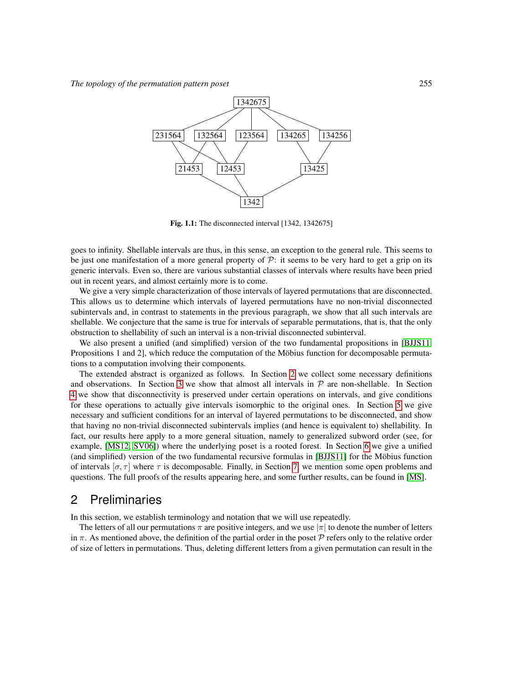

<span id="page-2-0"></span>Fig. 1.1: The disconnected interval [1342, 1342675]

goes to infinity. Shellable intervals are thus, in this sense, an exception to the general rule. This seems to be just one manifestation of a more general property of  $P$ : it seems to be very hard to get a grip on its generic intervals. Even so, there are various substantial classes of intervals where results have been pried out in recent years, and almost certainly more is to come.

We give a very simple characterization of those intervals of layered permutations that are disconnected. This allows us to determine which intervals of layered permutations have no non-trivial disconnected subintervals and, in contrast to statements in the previous paragraph, we show that all such intervals are shellable. We conjecture that the same is true for intervals of separable permutations, that is, that the only obstruction to shellability of such an interval is a non-trivial disconnected subinterval.

We also present a unified (and simplified) version of the two fundamental propositions in [\[BJJS11,](#page-10-0) Propositions 1 and 2], which reduce the computation of the Möbius function for decomposable permutations to a computation involving their components.

The extended abstract is organized as follows. In Section [2](#page-2-1) we collect some necessary definitions and observations. In Section [3](#page-3-0) we show that almost all intervals in  $P$  are non-shellable. In Section [4](#page-4-0) we show that disconnectivity is preserved under certain operations on intervals, and give conditions for these operations to actually give intervals isomorphic to the original ones. In Section [5](#page-6-0) we give necessary and sufficient conditions for an interval of layered permutations to be disconnected, and show that having no non-trivial disconnected subintervals implies (and hence is equivalent to) shellability. In fact, our results here apply to a more general situation, namely to generalized subword order (see, for example, [\[MS12,](#page-11-8) [SV06\]](#page-11-5)) where the underlying poset is a rooted forest. In Section [6](#page-8-0) we give a unified (and simplified) version of the two fundamental recursive formulas in [\[BJJS11\]](#page-10-0) for the Mobius function ¨ of intervals  $[\sigma, \tau]$  where  $\tau$  is decomposable. Finally, in Section [7,](#page-9-0) we mention some open problems and questions. The full proofs of the results appearing here, and some further results, can be found in [\[MS\]](#page-11-9).

### <span id="page-2-1"></span>2 Preliminaries

In this section, we establish terminology and notation that we will use repeatedly.

The letters of all our permutations  $\pi$  are positive integers, and we use  $|\pi|$  to denote the number of letters in  $\pi$ . As mentioned above, the definition of the partial order in the poset  $\mathcal P$  refers only to the relative order of size of letters in permutations. Thus, deleting different letters from a given permutation can result in the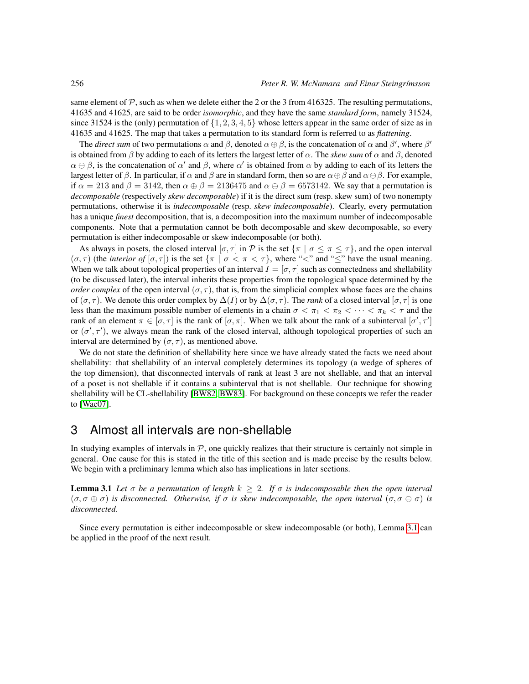same element of  $\mathcal P$ , such as when we delete either the 2 or the 3 from 416325. The resulting permutations, 41635 and 41625, are said to be order *isomorphic*, and they have the same *standard form*, namely 31524, since 31524 is the (only) permutation of  $\{1, 2, 3, 4, 5\}$  whose letters appear in the same order of size as in 41635 and 41625. The map that takes a permutation to its standard form is referred to as *flattening*.

The *direct sum* of two permutations  $\alpha$  and  $\beta$ , denoted  $\alpha \oplus \beta$ , is the concatenation of  $\alpha$  and  $\beta'$ , where  $\beta'$ is obtained from β by adding to each of its letters the largest letter of  $\alpha$ . The *skew sum* of  $\alpha$  and  $\beta$ , denoted  $\alpha \in \beta$ , is the concatenation of  $\alpha'$  and  $\beta$ , where  $\alpha'$  is obtained from  $\alpha$  by adding to each of its letters the largest letter of  $\beta$ . In particular, if  $\alpha$  and  $\beta$  are in standard form, then so are  $\alpha \oplus \beta$  and  $\alpha \ominus \beta$ . For example, if  $\alpha = 213$  and  $\beta = 3142$ , then  $\alpha \oplus \beta = 2136475$  and  $\alpha \ominus \beta = 6573142$ . We say that a permutation is *decomposable* (respectively *skew decomposable*) if it is the direct sum (resp. skew sum) of two nonempty permutations, otherwise it is *indecomposable* (resp. *skew indecomposable*). Clearly, every permutation has a unique *finest* decomposition, that is, a decomposition into the maximum number of indecomposable components. Note that a permutation cannot be both decomposable and skew decomposable, so every permutation is either indecomposable or skew indecomposable (or both).

As always in posets, the closed interval  $[\sigma, \tau]$  in P is the set  $\{\pi \mid \sigma \leq \pi \leq \tau\}$ , and the open interval  $(\sigma, \tau)$  (the *interior of*  $[\sigma, \tau]$ ) is the set  $\{\pi \mid \sigma < \pi < \tau\}$ , where "<" and "'s" have the usual meaning. When we talk about topological properties of an interval  $I = [\sigma, \tau]$  such as connectedness and shellability (to be discussed later), the interval inherits these properties from the topological space determined by the *order complex* of the open interval  $(\sigma, \tau)$ , that is, from the simplicial complex whose faces are the chains of ( $\sigma, \tau$ ). We denote this order complex by  $\Delta(I)$  or by  $\Delta(\sigma, \tau)$ . The *rank* of a closed interval [ $\sigma, \tau$ ] is one less than the maximum possible number of elements in a chain  $\sigma < \pi_1 < \pi_2 < \cdots < \pi_k < \tau$  and the rank of an element  $\pi \in [\sigma, \tau]$  is the rank of  $[\sigma, \pi]$ . When we talk about the rank of a subinterval  $[\sigma', \tau']$ or  $(\sigma', \tau')$ , we always mean the rank of the closed interval, although topological properties of such an interval are determined by  $(\sigma, \tau)$ , as mentioned above.

We do not state the definition of shellability here since we have already stated the facts we need about shellability: that shellability of an interval completely determines its topology (a wedge of spheres of the top dimension), that disconnected intervals of rank at least 3 are not shellable, and that an interval of a poset is not shellable if it contains a subinterval that is not shellable. Our technique for showing shellability will be CL-shellability [\[BW82,](#page-10-2) [BW83\]](#page-11-10). For background on these concepts we refer the reader to [\[Wac07\]](#page-11-11).

#### <span id="page-3-0"></span>3 Almost all intervals are non-shellable

In studying examples of intervals in  $P$ , one quickly realizes that their structure is certainly not simple in general. One cause for this is stated in the title of this section and is made precise by the results below. We begin with a preliminary lemma which also has implications in later sections.

<span id="page-3-1"></span>**Lemma 3.1** Let  $\sigma$  be a permutation of length  $k \geq 2$ . If  $\sigma$  is indecomposable then the open interval  $(\sigma, \sigma \oplus \sigma)$  *is disconnected.* Otherwise, if  $\sigma$  *is skew indecomposable, the open interval*  $(\sigma, \sigma \ominus \sigma)$  *is disconnected.*

<span id="page-3-2"></span>Since every permutation is either indecomposable or skew indecomposable (or both), Lemma [3.1](#page-3-1) can be applied in the proof of the next result.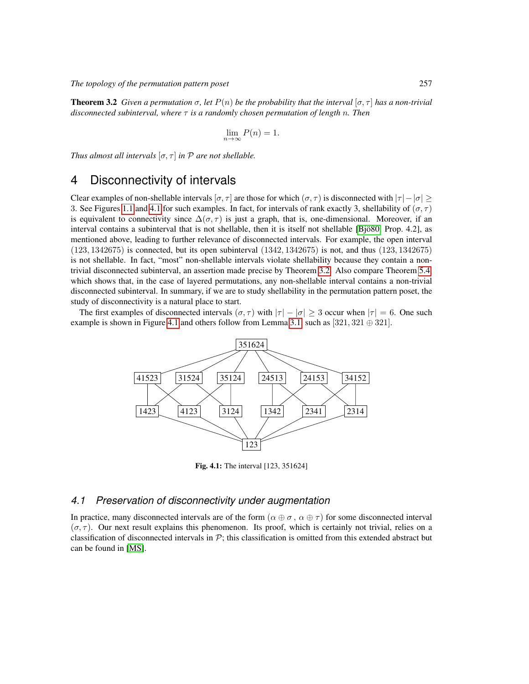*The topology of the permutation pattern poset* 257

**Theorem 3.2** *Given a permutation*  $\sigma$ , let  $P(n)$  *be the probability that the interval*  $[\sigma, \tau]$  *has a non-trivial disconnected subinterval, where* τ *is a randomly chosen permutation of length* n*. Then*

$$
\lim_{n \to \infty} P(n) = 1.
$$

*Thus almost all intervals*  $[\sigma, \tau]$  *in*  $\mathcal P$  *are not shellable.* 

### <span id="page-4-0"></span>4 Disconnectivity of intervals

Clear examples of non-shellable intervals [ $\sigma, \tau$ ] are those for which ( $\sigma, \tau$ ) is disconnected with  $|\tau| - |\sigma|$  > 3. See Figures [1.1](#page-2-0) and [4.1](#page-4-1) for such examples. In fact, for intervals of rank exactly 3, shellability of  $(\sigma, \tau)$ is equivalent to connectivity since  $\Delta(\sigma, \tau)$  is just a graph, that is, one-dimensional. Moreover, if an interval contains a subinterval that is not shellable, then it is itself not shellable [Bjö80, Prop. 4.2], as mentioned above, leading to further relevance of disconnected intervals. For example, the open interval  $(123, 1342675)$  is connected, but its open subinterval  $(1342, 1342675)$  is not, and thus  $(123, 1342675)$ is not shellable. In fact, "most" non-shellable intervals violate shellability because they contain a nontrivial disconnected subinterval, an assertion made precise by Theorem [3.2.](#page-3-2) Also compare Theorem [5.4,](#page-7-0) which shows that, in the case of layered permutations, any non-shellable interval contains a non-trivial disconnected subinterval. In summary, if we are to study shellability in the permutation pattern poset, the study of disconnectivity is a natural place to start.

The first examples of disconnected intervals  $(\sigma, \tau)$  with  $|\tau| - |\sigma| \geq 3$  occur when  $|\tau| = 6$ . One such example is shown in Figure [4.1](#page-4-1) and others follow from Lemma [3.1,](#page-3-1) such as [321, 321  $\oplus$  321].



<span id="page-4-1"></span>Fig. 4.1: The interval [123, 351624]

#### *4.1 Preservation of disconnectivity under augmentation*

<span id="page-4-2"></span>In practice, many disconnected intervals are of the form  $(\alpha \oplus \sigma, \alpha \oplus \tau)$  for some disconnected interval  $(\sigma, \tau)$ . Our next result explains this phenomenon. Its proof, which is certainly not trivial, relies on a classification of disconnected intervals in  $\mathcal{P}$ ; this classification is omitted from this extended abstract but can be found in [\[MS\]](#page-11-9).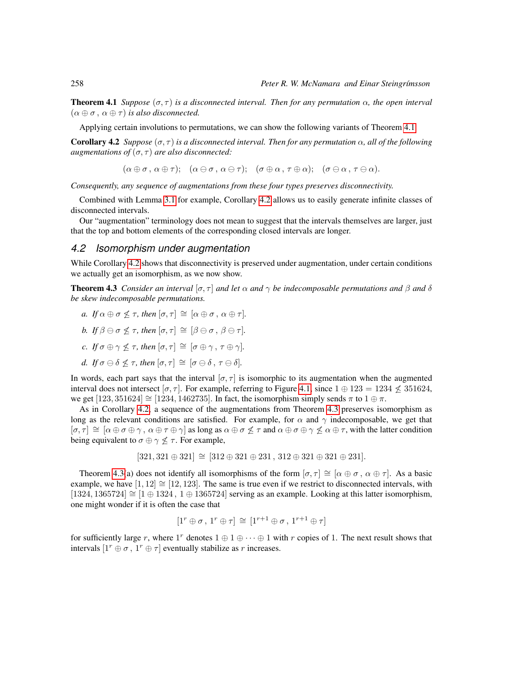**Theorem 4.1** *Suppose*  $(\sigma, \tau)$  *is a disconnected interval. Then for any permutation*  $\alpha$ *, the open interval*  $(\alpha \oplus \sigma, \alpha \oplus \tau)$  *is also disconnected.* 

Applying certain involutions to permutations, we can show the following variants of Theorem [4.1.](#page-4-2)

<span id="page-5-0"></span>**Corollary 4.2** *Suppose*  $(σ, τ)$  *is a disconnected interval. Then for any permutation*  $α$ *, all of the following augmentations of*  $(\sigma, \tau)$  *are also disconnected:* 

 $(\alpha \oplus \sigma, \alpha \oplus \tau); \quad (\alpha \ominus \sigma, \alpha \ominus \tau); \quad (\sigma \oplus \alpha, \tau \oplus \alpha); \quad (\sigma \ominus \alpha, \tau \ominus \alpha).$ 

*Consequently, any sequence of augmentations from these four types preserves disconnectivity.*

Combined with Lemma [3.1](#page-3-1) for example, Corollary [4.2](#page-5-0) allows us to easily generate infinite classes of disconnected intervals.

Our "augmentation" terminology does not mean to suggest that the intervals themselves are larger, just that the top and bottom elements of the corresponding closed intervals are longer.

#### *4.2 Isomorphism under augmentation*

While Corollary [4.2](#page-5-0) shows that disconnectivity is preserved under augmentation, under certain conditions we actually get an isomorphism, as we now show.

<span id="page-5-1"></span>**Theorem 4.3** *Consider an interval* [ $\sigma$ ,  $\tau$ ] *and let*  $\alpha$  *and*  $\gamma$  *be indecomposable permutations and*  $\beta$  *and*  $\delta$ *be skew indecomposable permutations.*

- *a. If*  $\alpha \oplus \sigma \leq \tau$ *, then*  $[\sigma, \tau] \cong [\alpha \oplus \sigma, \alpha \oplus \tau]$ *.*
- *b. If*  $\beta \ominus \sigma \not\leq \tau$ *, then*  $[\sigma, \tau] \cong [\beta \ominus \sigma, \beta \ominus \tau]$ *.*
- *c. If*  $\sigma \oplus \gamma \nless \tau$ *, then*  $[\sigma, \tau] \cong [\sigma \oplus \gamma, \tau \oplus \gamma]$ *.*
- *d. If*  $\sigma \ominus \delta \nless T$ , *then*  $[\sigma, \tau] \cong [\sigma \ominus \delta, \tau \ominus \delta]$ .

In words, each part says that the interval  $[\sigma, \tau]$  is isomorphic to its augmentation when the augmented interval does not intersect [ $\sigma$ ,  $\tau$ ]. For example, referring to Figure [4.1,](#page-4-1) since  $1 \oplus 123 = 1234 \nleq 351624$ , we get [123, 351624]  $\cong$  [1234, 1462735]. In fact, the isomorphism simply sends  $\pi$  to  $1 \oplus \pi$ .

As in Corollary [4.2,](#page-5-0) a sequence of the augmentations from Theorem [4.3](#page-5-1) preserves isomorphism as long as the relevant conditions are satisfied. For example, for  $\alpha$  and  $\gamma$  indecomposable, we get that  $[\sigma, \tau] \cong [\alpha \oplus \sigma \oplus \gamma, \alpha \oplus \tau \oplus \gamma]$  as long as  $\alpha \oplus \sigma \not\leq \tau$  and  $\alpha \oplus \sigma \oplus \gamma \not\leq \alpha \oplus \tau$ , with the latter condition being equivalent to  $\sigma \oplus \gamma \not\leq \tau$ . For example,

$$
[321, 321 \oplus 321] \cong [312 \oplus 321 \oplus 231, 312 \oplus 321 \oplus 321 \oplus 231].
$$

Theorem [4.3\(](#page-5-1)a) does not identify all isomorphisms of the form  $[\sigma, \tau] \cong [\alpha \oplus \sigma, \alpha \oplus \tau]$ . As a basic example, we have  $[1, 12] \cong [12, 123]$ . The same is true even if we restrict to disconnected intervals, with [1324, 1365724]  $\cong$  [1 ⊕ 1324, 1 ⊕ 1365724] serving as an example. Looking at this latter isomorphism, one might wonder if it is often the case that

$$
[1^r \oplus \sigma, 1^r \oplus \tau] \cong [1^{r+1} \oplus \sigma, 1^{r+1} \oplus \tau]
$$

<span id="page-5-2"></span>for sufficiently large r, where  $1^r$  denotes  $1 \oplus 1 \oplus \cdots \oplus 1$  with r copies of 1. The next result shows that intervals  $[1^r \oplus \sigma, 1^r \oplus \tau]$  eventually stabilize as r increases.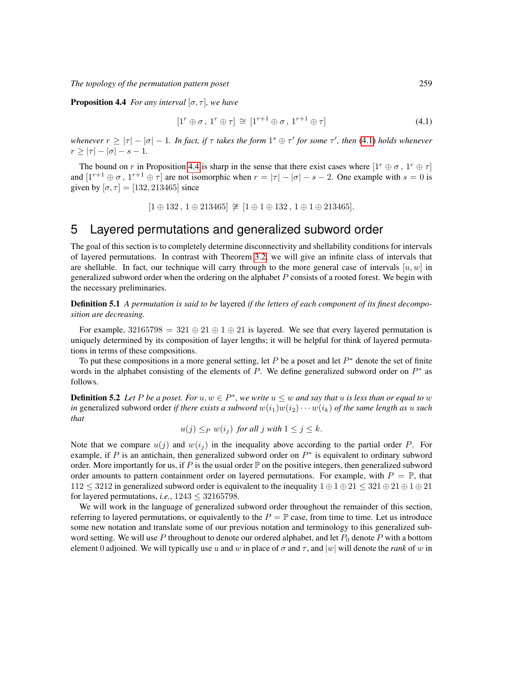**Proposition 4.4** *For any interval*  $[\sigma, \tau]$ *, we have* 

<span id="page-6-1"></span>
$$
[1^r \oplus \sigma, 1^r \oplus \tau] \cong [1^{r+1} \oplus \sigma, 1^{r+1} \oplus \tau]
$$
\n(4.1)

*whenever*  $r \ge |\tau| - |\sigma| - 1$ . In fact, if  $\tau$  takes the form  $1<sup>s</sup> \oplus \tau'$  for some  $\tau'$ , then [\(4.1\)](#page-6-1) holds whenever  $r \ge |\tau| - |\sigma| - s - 1.$ 

The bound on r in Proposition [4.4](#page-5-2) is sharp in the sense that there exist cases where  $[1^r \oplus \sigma, 1^r \oplus \tau]$ and  $[1^{r+1} \oplus \sigma, 1^{r+1} \oplus \tau]$  are not isomorphic when  $r = |\tau| - |\sigma| - s - 2$ . One example with  $s = 0$  is given by  $[\sigma, \tau] = [132, 213465]$  since

$$
[1 \oplus 132], 1 \oplus 213465] \ncong [1 \oplus 1 \oplus 132], 1 \oplus 1 \oplus 213465].
$$

# <span id="page-6-0"></span>5 Layered permutations and generalized subword order

The goal of this section is to completely determine disconnectivity and shellability conditions for intervals of layered permutations. In contrast with Theorem [3.2,](#page-3-2) we will give an infinite class of intervals that are shellable. In fact, our technique will carry through to the more general case of intervals  $[u, w]$  in generalized subword order when the ordering on the alphabet  $P$  consists of a rooted forest. We begin with the necessary preliminaries.

Definition 5.1 *A permutation is said to be* layered *if the letters of each component of its finest decomposition are decreasing.*

For example,  $32165798 = 321 \oplus 21 \oplus 1 \oplus 21$  is layered. We see that every layered permutation is uniquely determined by its composition of layer lengths; it will be helpful for think of layered permutations in terms of these compositions.

To put these compositions in a more general setting, let  $P$  be a poset and let  $P^*$  denote the set of finite words in the alphabet consisting of the elements of  $P$ . We define generalized subword order on  $P^*$  as follows.

**Definition 5.2** Let P be a poset. For  $u, w \in P^*$ , we write  $u \leq w$  and say that u is less than or equal to w *in* generalized subword order *if there exists a subword*  $w(i_1)w(i_2)\cdots w(i_k)$  *of the same length as u such that*

$$
u(j) \leq_P w(i_j)
$$
 for all j with  $1 \leq j \leq k$ .

Note that we compare  $u(j)$  and  $w(i_j)$  in the inequality above according to the partial order P. For example, if P is an antichain, then generalized subword order on  $P^*$  is equivalent to ordinary subword order. More importantly for us, if P is the usual order  $\mathbb P$  on the positive integers, then generalized subword order amounts to pattern containment order on layered permutations. For example, with  $P = \mathbb{P}$ , that  $112 \leq 3212$  in generalized subword order is equivalent to the inequality  $1 \oplus 1 \oplus 21 \leq 321 \oplus 21 \oplus 1 \oplus 21$ for layered permutations, *i.e.*,  $1243 \leq 32165798$ .

We will work in the language of generalized subword order throughout the remainder of this section, referring to layered permutations, or equivalently to the  $P = \mathbb{P}$  case, from time to time. Let us introduce some new notation and translate some of our previous notation and terminology to this generalized subword setting. We will use P throughout to denote our ordered alphabet, and let  $P_0$  denote P with a bottom element 0 adjoined. We will typically use u and w in place of  $\sigma$  and  $\tau$ , and |w| will denote the *rank* of w in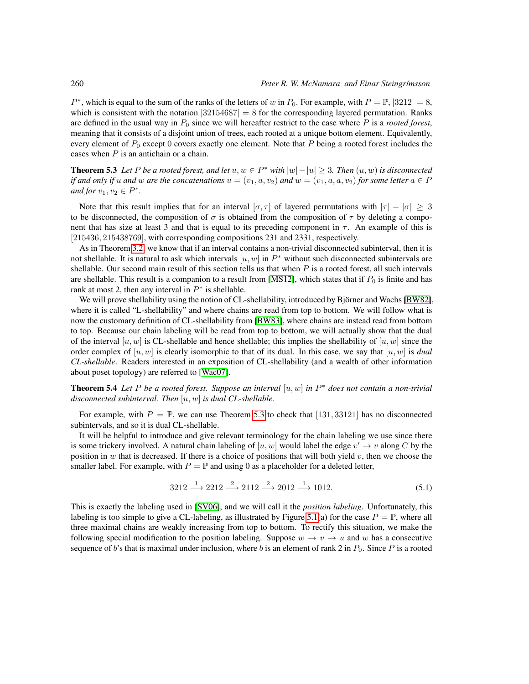$P^*$ , which is equal to the sum of the ranks of the letters of w in  $P_0$ . For example, with  $P = \mathbb{P}$ ,  $|3212| = 8$ , which is consistent with the notation  $|32154687| = 8$  for the corresponding layered permutation. Ranks are defined in the usual way in  $P_0$  since we will hereafter restrict to the case where  $P$  is a *rooted forest*, meaning that it consists of a disjoint union of trees, each rooted at a unique bottom element. Equivalently, every element of  $P_0$  except 0 covers exactly one element. Note that P being a rooted forest includes the cases when  $P$  is an antichain or a chain.

<span id="page-7-1"></span>**Theorem 5.3** Let P be a rooted forest, and let  $u, w \in P^*$  with  $|w| - |u| \geq 3$ . Then  $(u, w)$  is disconnected *if and only if* u and w are the concatenations  $u = (v_1, a, v_2)$  and  $w = (v_1, a, a, v_2)$  *for some letter*  $a \in P$ *and for*  $v_1, v_2 \in P^*$ *.* 

Note that this result implies that for an interval  $[\sigma, \tau]$  of layered permutations with  $|\tau| - |\sigma| \geq 3$ to be disconnected, the composition of  $\sigma$  is obtained from the composition of  $\tau$  by deleting a component that has size at least 3 and that is equal to its preceding component in  $\tau$ . An example of this is [215436, 215438769], with corresponding compositions 231 and 2331, respectively.

As in Theorem [3.2,](#page-3-2) we know that if an interval contains a non-trivial disconnected subinterval, then it is not shellable. It is natural to ask which intervals  $[u, w]$  in  $P^*$  without such disconnected subintervals are shellable. Our second main result of this section tells us that when  $P$  is a rooted forest, all such intervals are shellable. This result is a companion to a result from [\[MS12\]](#page-11-8), which states that if  $P_0$  is finite and has rank at most 2, then any interval in  $P^*$  is shellable.

We will prove shellability using the notion of CL-shellability, introduced by Björner and Wachs [\[BW82\]](#page-10-2), where it is called "L-shellability" and where chains are read from top to bottom. We will follow what is now the customary definition of CL-shellability from [\[BW83\]](#page-11-10), where chains are instead read from bottom to top. Because our chain labeling will be read from top to bottom, we will actually show that the dual of the interval  $[u, w]$  is CL-shellable and hence shellable; this implies the shellability of  $[u, w]$  since the order complex of  $[u, w]$  is clearly isomorphic to that of its dual. In this case, we say that  $[u, w]$  is *dual CL-shellable*. Readers interested in an exposition of CL-shellability (and a wealth of other information about poset topology) are referred to [\[Wac07\]](#page-11-11).

<span id="page-7-0"></span>Theorem 5.4 *Let* P *be a rooted forest. Suppose an interval* [u, w] *in* P <sup>∗</sup> *does not contain a non-trivial disconnected subinterval. Then* [u, w] *is dual CL-shellable.*

For example, with  $P = \mathbb{P}$ , we can use Theorem [5.3](#page-7-1) to check that [131, 33121] has no disconnected subintervals, and so it is dual CL-shellable.

It will be helpful to introduce and give relevant terminology for the chain labeling we use since there is some trickery involved. A natural chain labeling of  $[u, w]$  would label the edge  $v' \to v$  along C by the position in  $w$  that is decreased. If there is a choice of positions that will both yield  $v$ , then we choose the smaller label. For example, with  $P = \mathbb{P}$  and using 0 as a placeholder for a deleted letter,

$$
3212 \xrightarrow{1} 2212 \xrightarrow{2} 2112 \xrightarrow{2} 2012 \xrightarrow{1} 1012. \tag{5.1}
$$

This is exactly the labeling used in [\[SV06\]](#page-11-5), and we will call it the *position labeling*. Unfortunately, this labeling is too simple to give a CL-labeling, as illustrated by Figure [5.1\(](#page-8-1)a) for the case  $P = \mathbb{P}$ , where all three maximal chains are weakly increasing from top to bottom. To rectify this situation, we make the following special modification to the position labeling. Suppose  $w \to v \to u$  and w has a consecutive sequence of b's that is maximal under inclusion, where b is an element of rank 2 in  $P_0$ . Since P is a rooted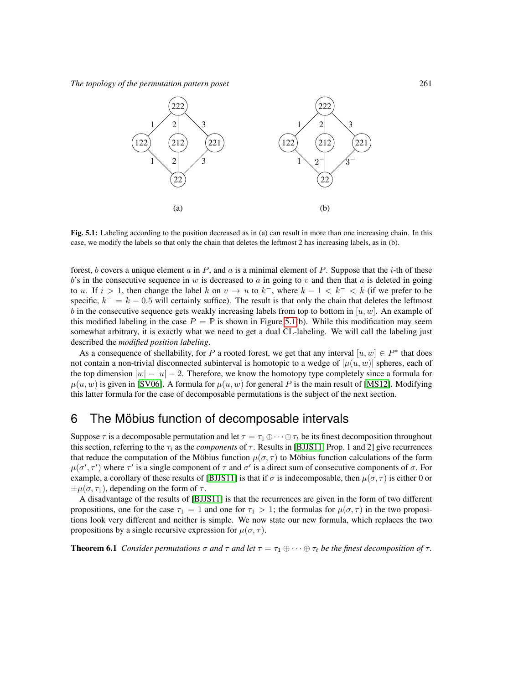*The topology of the permutation pattern poset* 261



<span id="page-8-1"></span>Fig. 5.1: Labeling according to the position decreased as in (a) can result in more than one increasing chain. In this case, we modify the labels so that only the chain that deletes the leftmost 2 has increasing labels, as in (b).

forest, b covers a unique element a in P, and a is a minimal element of P. Suppose that the i-th of these  $b$ 's in the consecutive sequence in w is decreased to a in going to v and then that a is deleted in going to u. If  $i > 1$ , then change the label k on  $v \to u$  to  $k^-$ , where  $k - 1 < k^- < k$  (if we prefer to be specific,  $k^- = k - 0.5$  will certainly suffice). The result is that only the chain that deletes the leftmost b in the consecutive sequence gets weakly increasing labels from top to bottom in  $[u, w]$ . An example of this modified labeling in the case  $P = \mathbb{P}$  is shown in Figure [5.1\(](#page-8-1)b). While this modification may seem somewhat arbitrary, it is exactly what we need to get a dual CL-labeling. We will call the labeling just described the *modified position labeling*.

As a consequence of shellability, for P a rooted forest, we get that any interval  $[u, w] \in P^*$  that does not contain a non-trivial disconnected subinterval is homotopic to a wedge of  $|\mu(u, w)|$  spheres, each of the top dimension  $|w| - |u| - 2$ . Therefore, we know the homotopy type completely since a formula for  $\mu(u, w)$  is given in [\[SV06\]](#page-11-5). A formula for  $\mu(u, w)$  for general P is the main result of [\[MS12\]](#page-11-8). Modifying this latter formula for the case of decomposable permutations is the subject of the next section.

### <span id="page-8-0"></span>6 The Möbius function of decomposable intervals

Suppose  $\tau$  is a decomposable permutation and let  $\tau = \tau_1 \oplus \cdots \oplus \tau_t$  be its finest decomposition throughout this section, referring to the  $\tau_i$  as the *components* of  $\tau$ . Results in [\[BJJS11,](#page-10-0) Prop. 1 and 2] give recurrences that reduce the computation of the Möbius function  $\mu(\sigma, \tau)$  to Möbius function calculations of the form  $\mu(\sigma', \tau')$  where  $\tau'$  is a single component of  $\tau$  and  $\sigma'$  is a direct sum of consecutive components of  $\sigma$ . For example, a corollary of these results of [\[BJJS11\]](#page-10-0) is that if  $\sigma$  is indecomposable, then  $\mu(\sigma, \tau)$  is either 0 or  $\pm \mu(\sigma, \tau_1)$ , depending on the form of  $\tau$ .

A disadvantage of the results of [\[BJJS11\]](#page-10-0) is that the recurrences are given in the form of two different propositions, one for the case  $\tau_1 = 1$  and one for  $\tau_1 > 1$ ; the formulas for  $\mu(\sigma, \tau)$  in the two propositions look very different and neither is simple. We now state our new formula, which replaces the two propositions by a single recursive expression for  $\mu(\sigma, \tau)$ .

<span id="page-8-2"></span>**Theorem 6.1** *Consider permutations*  $\sigma$  *and*  $\tau$  *and let*  $\tau = \tau_1 \oplus \cdots \oplus \tau_t$  *be the finest decomposition of*  $\tau$ *.*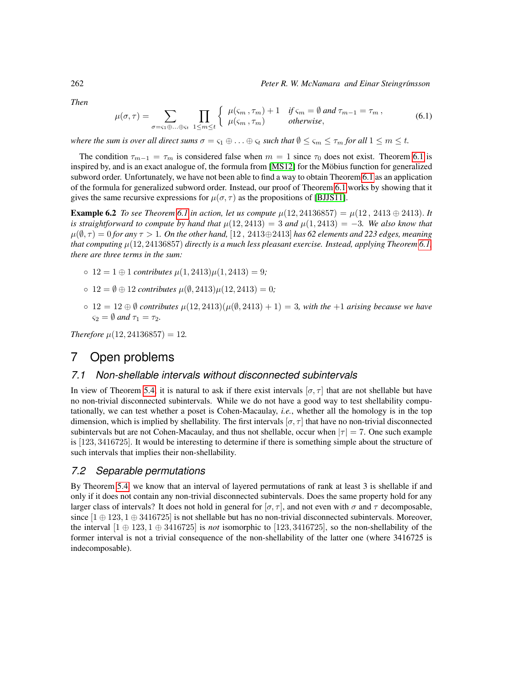*Then*

$$
\mu(\sigma,\tau) = \sum_{\sigma=\varsigma_1\oplus\ldots\oplus\varsigma_t} \prod_{1\leq m\leq t} \left\{ \begin{array}{ll} \mu(\varsigma_m,\tau_m) + 1 & \text{if } \varsigma_m = \emptyset \text{ and } \tau_{m-1} = \tau_m, \\ \mu(\varsigma_m,\tau_m) & \text{otherwise,} \end{array} \right. \tag{6.1}
$$

*where the sum is over all direct sums*  $\sigma = \varsigma_1 \oplus \ldots \oplus \varsigma_t$  *such that*  $\emptyset \leq \varsigma_m \leq \tau_m$  *for all*  $1 \leq m \leq t$ *.* 

The condition  $\tau_{m-1} = \tau_m$  is considered false when  $m = 1$  since  $\tau_0$  does not exist. Theorem [6.1](#page-8-2) is inspired by, and is an exact analogue of, the formula from [\[MS12\]](#page-11-8) for the Möbius function for generalized subword order. Unfortunately, we have not been able to find a way to obtain Theorem [6.1](#page-8-2) as an application of the formula for generalized subword order. Instead, our proof of Theorem [6.1](#page-8-2) works by showing that it gives the same recursive expressions for  $\mu(\sigma, \tau)$  as the propositions of [\[BJJS11\]](#page-10-0).

**Example 6.2** *To see Theorem [6.1](#page-8-2) in action, let us compute*  $\mu(12, 24136857) = \mu(12, 2413 \oplus 2413)$ *. It is straightforward to compute by hand that*  $\mu(12, 2413) = 3$  *and*  $\mu(1, 2413) = -3$ *. We also know that*  $\mu(\emptyset, \tau) = 0$  *for any*  $\tau > 1$ *. On the other hand,* [12, 2413⊕2413] *has 62 elements and 223 edges, meaning that computing* µ(12, 24136857) *directly is a much less pleasant exercise. Instead, applying Theorem [6.1,](#page-8-2) there are three terms in the sum:*

- 12 = 1 ⊕ 1 *contributes* µ(1, 2413)µ(1, 2413) = 9*;*
- 12 = ∅ ⊕ 12 *contributes* µ(∅, 2413)µ(12, 2413) = 0*;*
- 12 = 12 ⊕ ∅ *contributes* µ(12, 2413)(µ(∅, 2413) + 1) = 3*, with the* +1 *arising because we have*  $\varsigma_2 = \emptyset$  *and*  $\tau_1 = \tau_2$ .

*Therefore*  $\mu$ (12, 24136857) = 12*.* 

### <span id="page-9-0"></span>7 Open problems

#### *7.1 Non-shellable intervals without disconnected subintervals*

In view of Theorem [5.4,](#page-7-0) it is natural to ask if there exist intervals  $[\sigma, \tau]$  that are not shellable but have no non-trivial disconnected subintervals. While we do not have a good way to test shellability computationally, we can test whether a poset is Cohen-Macaulay, *i.e.*, whether all the homology is in the top dimension, which is implied by shellability. The first intervals  $[\sigma, \tau]$  that have no non-trivial disconnected subintervals but are not Cohen-Macaulay, and thus not shellable, occur when  $|\tau| = 7$ . One such example is [123, 3416725]. It would be interesting to determine if there is something simple about the structure of such intervals that implies their non-shellability.

#### *7.2 Separable permutations*

By Theorem [5.4,](#page-7-0) we know that an interval of layered permutations of rank at least 3 is shellable if and only if it does not contain any non-trivial disconnected subintervals. Does the same property hold for any larger class of intervals? It does not hold in general for  $[\sigma, \tau]$ , and not even with  $\sigma$  and  $\tau$  decomposable, since  $[1 \oplus 123, 1 \oplus 3416725]$  is not shellable but has no non-trivial disconnected subintervals. Moreover, the interval  $[1 \oplus 123, 1 \oplus 3416725]$  is *not* isomorphic to [123, 3416725], so the non-shellability of the former interval is not a trivial consequence of the non-shellability of the latter one (where 3416725 is indecomposable).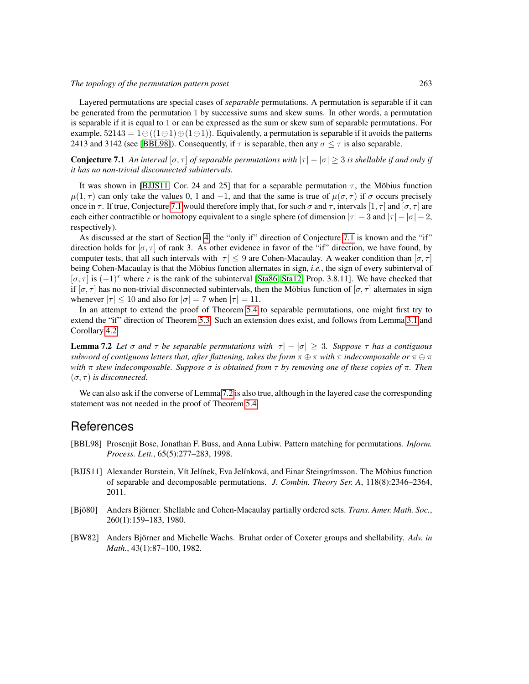Layered permutations are special cases of *separable* permutations. A permutation is separable if it can be generated from the permutation 1 by successive sums and skew sums. In other words, a permutation is separable if it is equal to 1 or can be expressed as the sum or skew sum of separable permutations. For example,  $52143 = 1 \ominus ((1 \ominus 1) \oplus (1 \ominus 1))$ . Equivalently, a permutation is separable if it avoids the patterns 2413 and 3142 (see [\[BBL98\]](#page-10-3)). Consequently, if  $\tau$  is separable, then any  $\sigma < \tau$  is also separable.

<span id="page-10-4"></span>**Conjecture 7.1** An interval  $[\sigma, \tau]$  of separable permutations with  $|\tau| - |\sigma| \geq 3$  is shellable if and only if *it has no non-trivial disconnected subintervals.*

It was shown in [\[BJJS11,](#page-10-0) Cor. 24 and 25] that for a separable permutation  $\tau$ , the Möbius function  $\mu(1,\tau)$  can only take the values 0, 1 and -1, and that the same is true of  $\mu(\sigma,\tau)$  if  $\sigma$  occurs precisely once in  $\tau$ . If true, Conjecture [7.1](#page-10-4) would therefore imply that, for such  $\sigma$  and  $\tau$ , intervals  $[1, \tau]$  and  $[\sigma, \tau]$  are each either contractible or homotopy equivalent to a single sphere (of dimension  $|\tau| - 3$  and  $|\tau| - |\sigma| - 2$ , respectively).

As discussed at the start of Section [4,](#page-4-0) the "only if" direction of Conjecture [7.1](#page-10-4) is known and the "if" direction holds for  $[\sigma, \tau]$  of rank 3. As other evidence in favor of the "if" direction, we have found, by computer tests, that all such intervals with  $|\tau| \leq 9$  are Cohen-Macaulay. A weaker condition than  $[\sigma, \tau]$ being Cohen-Macaulay is that the Möbius function alternates in sign, *i.e.*, the sign of every subinterval of  $[\sigma, \tau]$  is  $(-1)^r$  where r is the rank of the subinterval [\[Sta86,](#page-11-12) [Sta12,](#page-11-13) Prop. 3.8.11]. We have checked that if  $[\sigma, \tau]$  has no non-trivial disconnected subintervals, then the Möbius function of  $[\sigma, \tau]$  alternates in sign whenever  $|\tau| \leq 10$  and also for  $|\sigma| = 7$  when  $|\tau| = 11$ .

In an attempt to extend the proof of Theorem [5.4](#page-7-0) to separable permutations, one might first try to extend the "if" direction of Theorem [5.3.](#page-7-1) Such an extension does exist, and follows from Lemma [3.1](#page-3-1) and Corollary [4.2](#page-5-0)

<span id="page-10-5"></span>**Lemma 7.2** Let  $\sigma$  and  $\tau$  be separable permutations with  $|\tau| - |\sigma| \geq 3$ . Suppose  $\tau$  has a contiguous *subword of contiguous letters that, after flattening, takes the form*  $\pi \oplus \pi$  *with*  $\pi$  *indecomposable or*  $\pi \ominus \pi$ *with* π *skew indecomposable. Suppose* σ *is obtained from* τ *by removing one of these copies of* π*. Then*  $(\sigma, \tau)$  *is disconnected.* 

We can also ask if the converse of Lemma [7.2](#page-10-5) is also true, although in the layered case the corresponding statement was not needed in the proof of Theorem [5.4.](#page-7-0)

#### **References**

- <span id="page-10-3"></span>[BBL98] Prosenjit Bose, Jonathan F. Buss, and Anna Lubiw. Pattern matching for permutations. *Inform. Process. Lett.*, 65(5):277–283, 1998.
- <span id="page-10-0"></span>[BJJS11] Alexander Burstein, Vít Jelínek, Eva Jelínková, and Einar Steingrímsson. The Möbius function of separable and decomposable permutations. *J. Combin. Theory Ser. A*, 118(8):2346–2364, 2011.
- <span id="page-10-1"></span>[Bjö80] Anders Björner. Shellable and Cohen-Macaulay partially ordered sets. *Trans. Amer. Math. Soc.*, 260(1):159–183, 1980.
- <span id="page-10-2"></span>[BW82] Anders Björner and Michelle Wachs. Bruhat order of Coxeter groups and shellability. Adv. in *Math.*, 43(1):87–100, 1982.